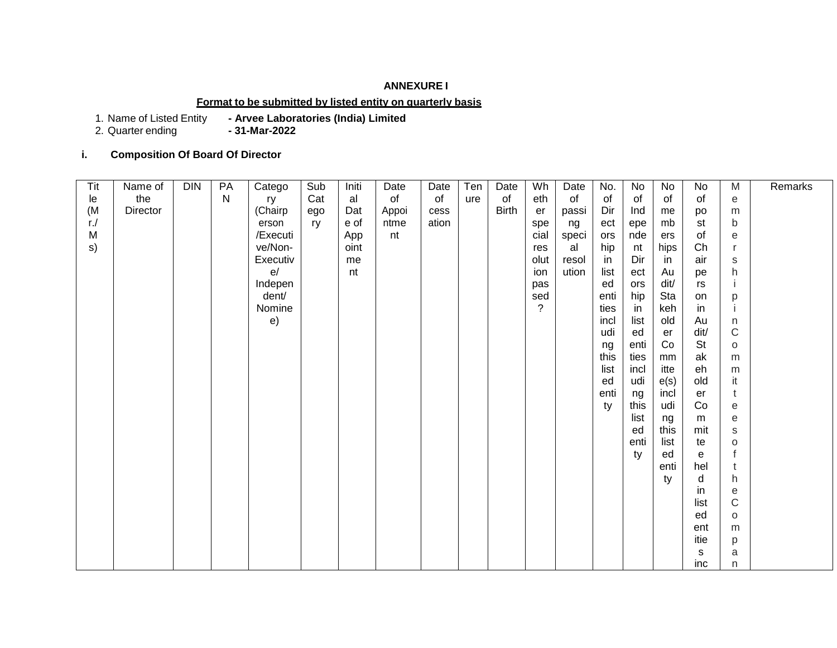# **ANNEXURE I**

### **Format to be submitted by listed entity on quarterly basis**

1. Name of Listed Entity **- Arvee Laboratories (India) Limited**

2. Quarter ending **- 31-Mar-2022**

### **i. Composition Of Board Of Director**

| Tit    | Name of  | <b>DIN</b> | PA           | Catego   | Sub | Initi | Date  | Date  | Ten | Date         | Wh             | Date  | No.  | No   | No   | No        | M            | Remarks |
|--------|----------|------------|--------------|----------|-----|-------|-------|-------|-----|--------------|----------------|-------|------|------|------|-----------|--------------|---------|
| le     | the      |            | $\mathsf{N}$ | ry       | Cat | al    | of    | of    | ure | of           | eth            | of    | of   | of   | of   | of        | е            |         |
| (M     | Director |            |              | (Chairp  | ego | Dat   | Appoi | cess  |     | <b>Birth</b> | er             | passi | Dir  | Ind  | me   | po        | m            |         |
| $r$ ./ |          |            |              | erson    | ry  | e of  | ntme  | ation |     |              | spe            | ng    | ect  | epe  | mb   | st        | b            |         |
| M      |          |            |              | /Executi |     | App   | nt    |       |     |              | cial           | speci | ors  | nde  | ers  | of        | е            |         |
| s)     |          |            |              | ve/Non-  |     | oint  |       |       |     |              | res            | al    | hip  | nt   | hips | Ch        | -r           |         |
|        |          |            |              | Executiv |     | me    |       |       |     |              | olut           | resol | in   | Dir  | in   | air       | S            |         |
|        |          |            |              | e/       |     | nt    |       |       |     |              | ion            | ution | list | ect  | Au   | pe        | h            |         |
|        |          |            |              | Indepen  |     |       |       |       |     |              | pas            |       | ed   | ors  | dit/ | rs        |              |         |
|        |          |            |              | dent/    |     |       |       |       |     |              | sed            |       | enti | hip  | Sta  | on        | p            |         |
|        |          |            |              | Nomine   |     |       |       |       |     |              | $\overline{?}$ |       | ties | in   | keh  | in        |              |         |
|        |          |            |              | e)       |     |       |       |       |     |              |                |       | incl | list | old  | Au        | n            |         |
|        |          |            |              |          |     |       |       |       |     |              |                |       | udi  | ed   | er   | dit/      | $\mathsf C$  |         |
|        |          |            |              |          |     |       |       |       |     |              |                |       | ng   | enti | Co   | <b>St</b> | $\circ$      |         |
|        |          |            |              |          |     |       |       |       |     |              |                |       | this | ties | mm   | ak        | m            |         |
|        |          |            |              |          |     |       |       |       |     |              |                |       | list | incl | itte | eh        | m            |         |
|        |          |            |              |          |     |       |       |       |     |              |                |       | ed   | udi  | e(s) | old       | it           |         |
|        |          |            |              |          |     |       |       |       |     |              |                |       | enti | ng   | incl | er        | t            |         |
|        |          |            |              |          |     |       |       |       |     |              |                |       | ty   | this | udi  | Co        | е            |         |
|        |          |            |              |          |     |       |       |       |     |              |                |       |      | list | ng   | m         | е            |         |
|        |          |            |              |          |     |       |       |       |     |              |                |       |      | ed   | this | mit       | S            |         |
|        |          |            |              |          |     |       |       |       |     |              |                |       |      | enti | list | te        | $\circ$      |         |
|        |          |            |              |          |     |       |       |       |     |              |                |       |      | ty   | ed   | e         | $\mathsf{f}$ |         |
|        |          |            |              |          |     |       |       |       |     |              |                |       |      |      | enti | hel       | t            |         |
|        |          |            |              |          |     |       |       |       |     |              |                |       |      |      | ty   | d         | h            |         |
|        |          |            |              |          |     |       |       |       |     |              |                |       |      |      |      | in        | е            |         |
|        |          |            |              |          |     |       |       |       |     |              |                |       |      |      |      | list      | $\mathsf{C}$ |         |
|        |          |            |              |          |     |       |       |       |     |              |                |       |      |      |      | ed        | $\circ$      |         |
|        |          |            |              |          |     |       |       |       |     |              |                |       |      |      |      | ent       | m            |         |
|        |          |            |              |          |     |       |       |       |     |              |                |       |      |      |      | itie      | р            |         |
|        |          |            |              |          |     |       |       |       |     |              |                |       |      |      |      | s         | a            |         |
|        |          |            |              |          |     |       |       |       |     |              |                |       |      |      |      | inc       | n            |         |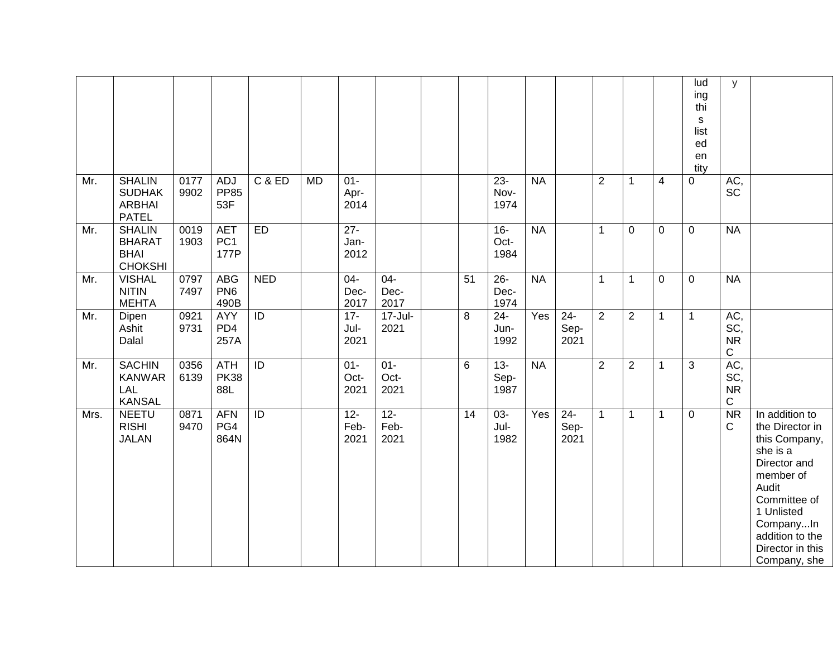|      |                                                                 |              |                                       |                   |           |                        |                        |    |                        |           |                        |                |                |                | lud<br>ing<br>thi<br>$\mathbf S$<br>list | У                                      |                                                                                                                                                                                                        |
|------|-----------------------------------------------------------------|--------------|---------------------------------------|-------------------|-----------|------------------------|------------------------|----|------------------------|-----------|------------------------|----------------|----------------|----------------|------------------------------------------|----------------------------------------|--------------------------------------------------------------------------------------------------------------------------------------------------------------------------------------------------------|
|      |                                                                 |              |                                       |                   |           |                        |                        |    |                        |           |                        |                |                |                | ed<br>en<br>tity                         |                                        |                                                                                                                                                                                                        |
| Mr.  | <b>SHALIN</b><br><b>SUDHAK</b><br><b>ARBHAI</b><br><b>PATEL</b> | 0177<br>9902 | <b>ADJ</b><br><b>PP85</b><br>53F      | <b>C &amp; ED</b> | <b>MD</b> | $01 -$<br>Apr-<br>2014 |                        |    | $23 -$<br>Nov-<br>1974 | <b>NA</b> |                        | $\overline{2}$ | 1              | $\overline{4}$ | 0                                        | AC,<br><b>SC</b>                       |                                                                                                                                                                                                        |
| Mr.  | <b>SHALIN</b><br><b>BHARAT</b><br><b>BHAI</b><br><b>CHOKSHI</b> | 0019<br>1903 | <b>AET</b><br>PC <sub>1</sub><br>177P | ED                |           | $27 -$<br>Jan-<br>2012 |                        |    | $16-$<br>Oct-<br>1984  | <b>NA</b> |                        | $\mathbf{1}$   | 0              | 0              | $\mathbf 0$                              | <b>NA</b>                              |                                                                                                                                                                                                        |
| Mr.  | <b>VISHAL</b><br><b>NITIN</b><br><b>MEHTA</b>                   | 0797<br>7497 | <b>ABG</b><br>PN <sub>6</sub><br>490B | <b>NED</b>        |           | $04-$<br>Dec-<br>2017  | $04 -$<br>Dec-<br>2017 | 51 | $26 -$<br>Dec-<br>1974 | <b>NA</b> |                        | $\mathbf{1}$   | 1              | $\mathbf 0$    | $\mathbf 0$                              | <b>NA</b>                              |                                                                                                                                                                                                        |
| Mr.  | Dipen<br>Ashit<br>Dalal                                         | 0921<br>9731 | <b>AYY</b><br>PD4<br>257A             | $\overline{ID}$   |           | $17 -$<br>Jul-<br>2021 | $17 -$ Jul-<br>2021    | 8  | $24 -$<br>Jun-<br>1992 | Yes       | $24 -$<br>Sep-<br>2021 | $\overline{2}$ | $\overline{2}$ | 1              | $\mathbf{1}$                             | AC,<br>SC,<br><b>NR</b><br>$\mathbf C$ |                                                                                                                                                                                                        |
| Mr.  | <b>SACHIN</b><br><b>KANWAR</b><br>LAL<br><b>KANSAL</b>          | 0356<br>6139 | <b>ATH</b><br><b>PK38</b><br>88L      | $\overline{ID}$   |           | $01 -$<br>Oct-<br>2021 | $01 -$<br>Oct-<br>2021 | 6  | $13 -$<br>Sep-<br>1987 | <b>NA</b> |                        | $\overline{2}$ | $\overline{2}$ | 1              | 3                                        | AC,<br>SC,<br><b>NR</b><br>$\mathbf C$ |                                                                                                                                                                                                        |
| Mrs. | <b>NEETU</b><br><b>RISHI</b><br><b>JALAN</b>                    | 0871<br>9470 | <b>AFN</b><br>PG4<br>864N             | $\overline{1}$    |           | $12 -$<br>Feb-<br>2021 | $12 -$<br>Feb-<br>2021 | 14 | $03 -$<br>Jul-<br>1982 | Yes       | $24 -$<br>Sep-<br>2021 | $\mathbf{1}$   | 1              | 1              | 0                                        | $\overline{\text{NR}}$<br>C            | In addition to<br>the Director in<br>this Company,<br>she is a<br>Director and<br>member of<br>Audit<br>Committee of<br>1 Unlisted<br>CompanyIn<br>addition to the<br>Director in this<br>Company, she |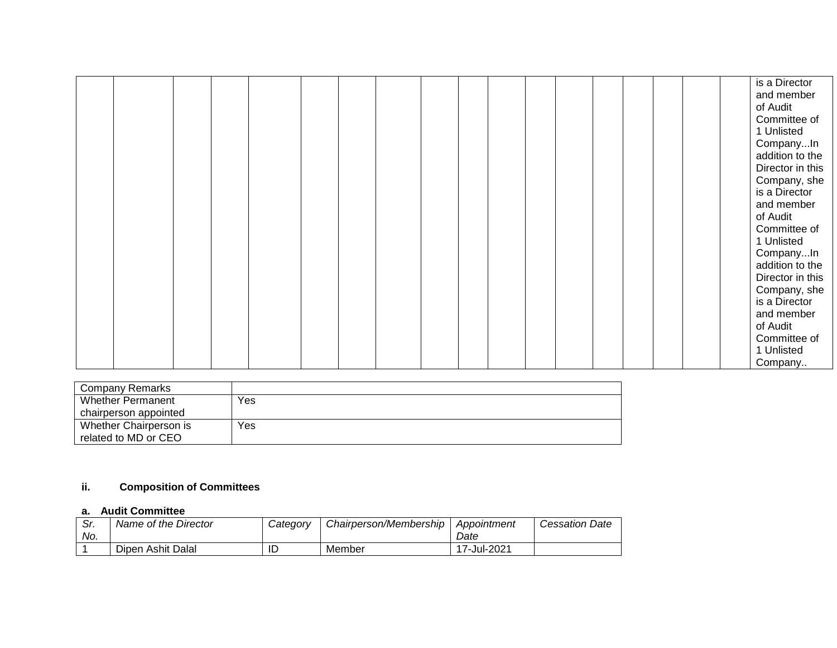|  |  |  |  |  |  |  |  |  | is a Director<br>and member<br>of Audit<br>Committee of<br>1 Unlisted<br>CompanyIn<br>addition to the<br>Director in this<br>Company, she<br>is a Director<br>and member<br>of Audit<br>Committee of<br>1 Unlisted<br>CompanyIn<br>addition to the<br>Director in this<br>Company, she |
|--|--|--|--|--|--|--|--|--|----------------------------------------------------------------------------------------------------------------------------------------------------------------------------------------------------------------------------------------------------------------------------------------|
|  |  |  |  |  |  |  |  |  | is a Director<br>and member                                                                                                                                                                                                                                                            |
|  |  |  |  |  |  |  |  |  | of Audit<br>Committee of<br>1 Unlisted<br>Company                                                                                                                                                                                                                                      |

| Company Remarks        |     |
|------------------------|-----|
| Whether Permanent      | Yes |
| chairperson appointed  |     |
| Whether Chairperson is | Yes |
| related to MD or CEO   |     |

# **ii. Composition of Committees**

## **a. Audit Committee**

| Sr. | Name of the Director | Category | Chairperson/Membership | Appointment | <b>Cessation Date</b> |
|-----|----------------------|----------|------------------------|-------------|-----------------------|
| No. |                      |          |                        | Date        |                       |
|     | Dipen Ashit Dalal    | ID       | Member                 | 17-Jul-2021 |                       |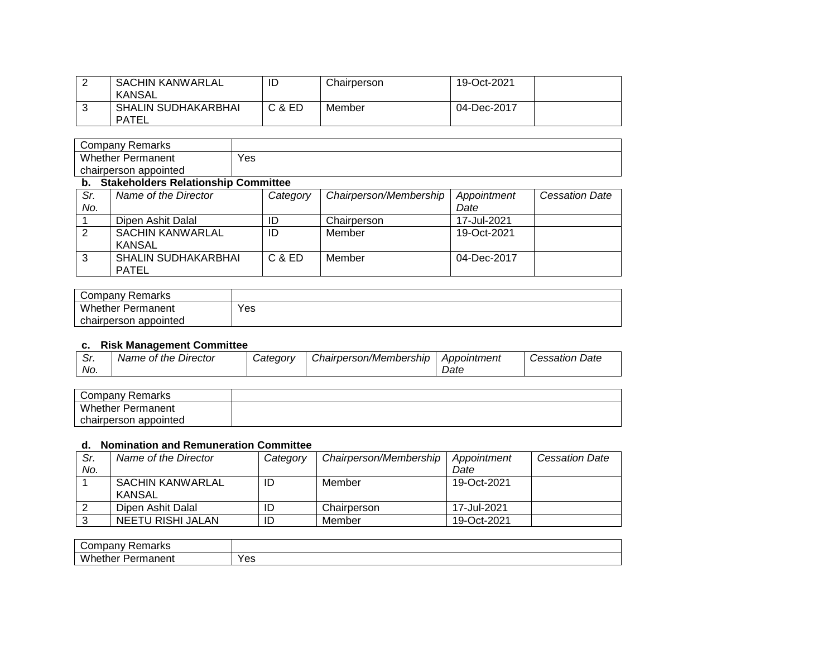| <b>SACHIN KANWARLAL</b><br>KANSAL          | ┖      | Chairperson | 19-Oct-2021 |
|--------------------------------------------|--------|-------------|-------------|
| <b>SHALIN SUDHAKARBHAI</b><br><b>PATEL</b> | C & ED | Member      | 04-Dec-2017 |

| Company Remarks          |     |
|--------------------------|-----|
| <b>Whether Permanent</b> | Yes |
| chairperson appointed    |     |

#### **b. Stakeholders Relationship Committee**

| Sr.    | Name of the Director                       | Category | Chairperson/Membership | Appointment | <b>Cessation Date</b> |
|--------|--------------------------------------------|----------|------------------------|-------------|-----------------------|
| No.    |                                            |          |                        | Date        |                       |
|        | Dipen Ashit Dalal                          | ID       | Chairperson            | 17-Jul-2021 |                       |
|        | <b>SACHIN KANWARLAL</b><br>KANSAL          | ID       | Member                 | 19-Oct-2021 |                       |
| ົ<br>C | <b>SHALIN SUDHAKARBHAI</b><br><b>PATEL</b> | C & ED   | Member                 | 04-Dec-2017 |                       |

| Company Remarks          |     |
|--------------------------|-----|
| <b>Whether Permanent</b> | Yes |
| chairperson appointed    |     |

#### **c. Risk Management Committee**

| ົ.<br>. اب | Name of the<br>Director | Category | Chairperson/Membership | Appointment | Date<br><i>Cessation</i> |
|------------|-------------------------|----------|------------------------|-------------|--------------------------|
| No.        |                         |          |                        | Date        |                          |

| Company Remarks          |  |
|--------------------------|--|
| <b>Whether Permanent</b> |  |
| chairperson appointed    |  |

### **d. Nomination and Remuneration Committee**

| Sr. | Name of the Director       | Category | Chairperson/Membership | Appointment | <b>Cessation Date</b> |
|-----|----------------------------|----------|------------------------|-------------|-----------------------|
| No. |                            |          |                        | Date        |                       |
|     | SACHIN KANWARLAL<br>KANSAL | ID       | Member                 | 19-Oct-2021 |                       |
|     | Dipen Ashit Dalal          | ID       | Chairperson            | 17-Jul-2021 |                       |
|     | NEETU RISHI JALAN          | ID       | Member                 | 19-Oct-2021 |                       |

| `omnan<br>riarks<br>∪ ⊿l<br>.<br>$ -$                   |                    |
|---------------------------------------------------------|--------------------|
| <br>w<br>ether<br>---<br>.<br>nanent<br>. .<br>'ωr<br>எ | $V_{\Omega}$<br>౼౼ |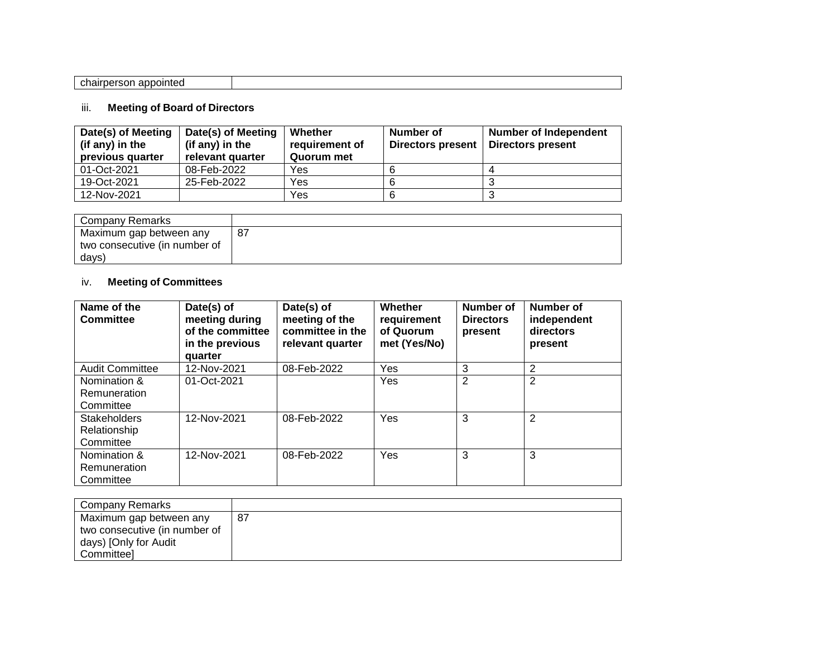| .<br>nh.<br>---<br>- -- - - -<br>.nairr<br>appointed<br>'rnerson- |  |
|-------------------------------------------------------------------|--|
|                                                                   |  |

# iii. **Meeting of Board of Directors**

| Date(s) of Meeting<br>(if any) in the<br>previous quarter | Date(s) of Meeting<br>(if any) in the<br>relevant quarter | Whether<br>requirement of<br>Quorum met | Number of<br><b>Directors present</b> | <b>Number of Independent</b><br><b>Directors present</b> |
|-----------------------------------------------------------|-----------------------------------------------------------|-----------------------------------------|---------------------------------------|----------------------------------------------------------|
| 01-Oct-2021                                               | 08-Feb-2022                                               | Yes                                     |                                       |                                                          |
| 19-Oct-2021                                               | 25-Feb-2022                                               | Yes                                     |                                       |                                                          |
| 12-Nov-2021                                               |                                                           | Yes                                     |                                       |                                                          |

| Company Remarks               |    |
|-------------------------------|----|
| Maximum gap between any       | 87 |
| two consecutive (in number of |    |
| days)                         |    |

# iv. **Meeting of Committees**

| Name of the<br>Committee                         | Date(s) of<br>meeting during<br>of the committee<br>in the previous<br>quarter | Date(s) of<br>meeting of the<br>committee in the<br>relevant quarter | Whether<br>requirement<br>of Quorum<br>met (Yes/No) | Number of<br><b>Directors</b><br>present | <b>Number of</b><br>independent<br>directors<br>present |
|--------------------------------------------------|--------------------------------------------------------------------------------|----------------------------------------------------------------------|-----------------------------------------------------|------------------------------------------|---------------------------------------------------------|
| <b>Audit Committee</b>                           | 12-Nov-2021                                                                    | 08-Feb-2022                                                          | Yes                                                 | 3                                        | 2                                                       |
| Nomination &<br>Remuneration<br>Committee        | 01-Oct-2021                                                                    |                                                                      | Yes                                                 | $\overline{2}$                           | $\overline{2}$                                          |
| <b>Stakeholders</b><br>Relationship<br>Committee | 12-Nov-2021                                                                    | 08-Feb-2022                                                          | Yes                                                 | 3                                        | $\overline{2}$                                          |
| Nomination &<br>Remuneration<br>Committee        | 12-Nov-2021                                                                    | 08-Feb-2022                                                          | Yes                                                 | 3                                        | 3                                                       |

| Company Remarks               |    |
|-------------------------------|----|
| Maximum gap between any       | 87 |
| two consecutive (in number of |    |
| days) [Only for Audit         |    |
| <b>Committeel</b>             |    |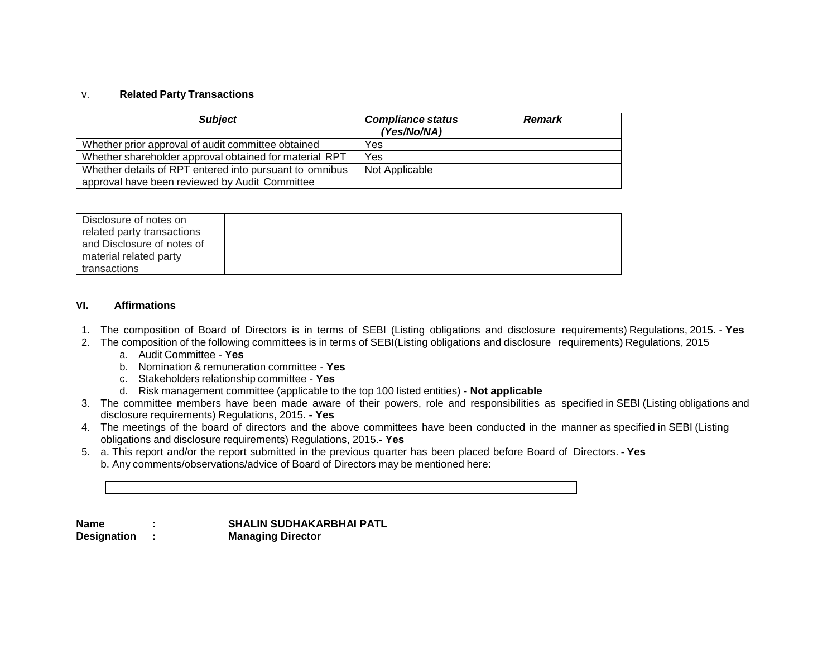#### v. **Related Party Transactions**

| <b>Subject</b>                                          | <b>Compliance status</b><br>(Yes/No/NA) | <b>Remark</b> |
|---------------------------------------------------------|-----------------------------------------|---------------|
| Whether prior approval of audit committee obtained      | Yes                                     |               |
| Whether shareholder approval obtained for material RPT  | Yes                                     |               |
| Whether details of RPT entered into pursuant to omnibus | Not Applicable                          |               |
| approval have been reviewed by Audit Committee          |                                         |               |

#### **VI. Affirmations**

- 1. The composition of Board of Directors is in terms of SEBI (Listing obligations and disclosure requirements) Regulations, 2015. **Yes**
- 2. The composition of the following committees is in terms of SEBI(Listing obligations and disclosure requirements) Regulations, 2015
	- a. Audit Committee **Yes**
	- b. Nomination & remuneration committee **Yes**
	- c. Stakeholders relationship committee **Yes**
	- d. Risk management committee (applicable to the top 100 listed entities) **- Not applicable**
- 3. The committee members have been made aware of their powers, role and responsibilities as specified in SEBI (Listing obligations and disclosure requirements) Regulations, 2015. **- Yes**
- 4. The meetings of the board of directors and the above committees have been conducted in the manner as specified in SEBI (Listing obligations and disclosure requirements) Regulations, 2015.**- Yes**
- 5. a. This report and/or the report submitted in the previous quarter has been placed before Board of Directors. **- Yes** b. Any comments/observations/advice of Board of Directors may be mentioned here:

**Name : SHALIN SUDHAKARBHAI PATL Designation : Managing Director**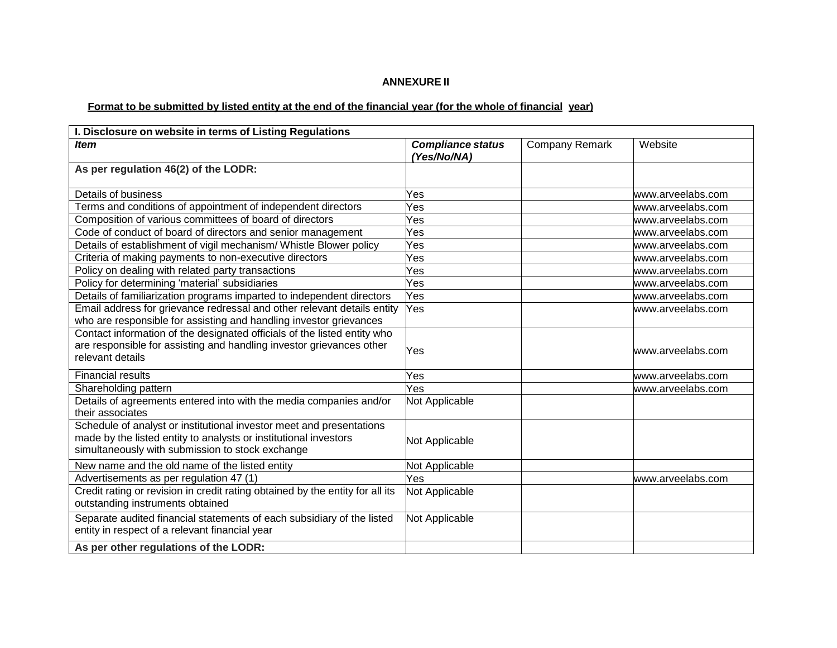### **ANNEXURE II**

# Format to be submitted by listed entity at the end of the financial year (for the whole of financial year)

| I. Disclosure on website in terms of Listing Regulations                                                                                                                                     |                                         |                       |                   |
|----------------------------------------------------------------------------------------------------------------------------------------------------------------------------------------------|-----------------------------------------|-----------------------|-------------------|
| <b>Item</b>                                                                                                                                                                                  | <b>Compliance status</b><br>(Yes/No/NA) | <b>Company Remark</b> | Website           |
| As per regulation 46(2) of the LODR:                                                                                                                                                         |                                         |                       |                   |
| Details of business                                                                                                                                                                          | Yes                                     |                       | www.arveelabs.com |
| Terms and conditions of appointment of independent directors                                                                                                                                 | Yes                                     |                       | www.arveelabs.com |
| Composition of various committees of board of directors                                                                                                                                      | Yes                                     |                       | www.arveelabs.com |
| Code of conduct of board of directors and senior management                                                                                                                                  | Yes                                     |                       | www.arveelabs.com |
| Details of establishment of vigil mechanism/ Whistle Blower policy                                                                                                                           | Yes                                     |                       | www.arveelabs.com |
| Criteria of making payments to non-executive directors                                                                                                                                       | Yes                                     |                       | www.arveelabs.com |
| Policy on dealing with related party transactions                                                                                                                                            | Yes                                     |                       | www.arveelabs.com |
| Policy for determining 'material' subsidiaries                                                                                                                                               | Yes                                     |                       | www.arveelabs.com |
| Details of familiarization programs imparted to independent directors                                                                                                                        | Yes                                     |                       | www.arveelabs.com |
| Email address for grievance redressal and other relevant details entity<br>who are responsible for assisting and handling investor grievances                                                | Yes                                     |                       | www.arveelabs.com |
| Contact information of the designated officials of the listed entity who<br>are responsible for assisting and handling investor grievances other<br>relevant details                         | Yes                                     |                       | www.arveelabs.com |
| <b>Financial results</b>                                                                                                                                                                     | Yes                                     |                       | www.arveelabs.com |
| Shareholding pattern                                                                                                                                                                         | Yes                                     |                       | www.arveelabs.com |
| Details of agreements entered into with the media companies and/or<br>their associates                                                                                                       | Not Applicable                          |                       |                   |
| Schedule of analyst or institutional investor meet and presentations<br>made by the listed entity to analysts or institutional investors<br>simultaneously with submission to stock exchange | Not Applicable                          |                       |                   |
| New name and the old name of the listed entity                                                                                                                                               | Not Applicable                          |                       |                   |
| Advertisements as per regulation 47 (1)                                                                                                                                                      | Yes                                     |                       | www.arveelabs.com |
| Credit rating or revision in credit rating obtained by the entity for all its<br>outstanding instruments obtained                                                                            | Not Applicable                          |                       |                   |
| Separate audited financial statements of each subsidiary of the listed<br>entity in respect of a relevant financial year                                                                     | Not Applicable                          |                       |                   |
| As per other regulations of the LODR:                                                                                                                                                        |                                         |                       |                   |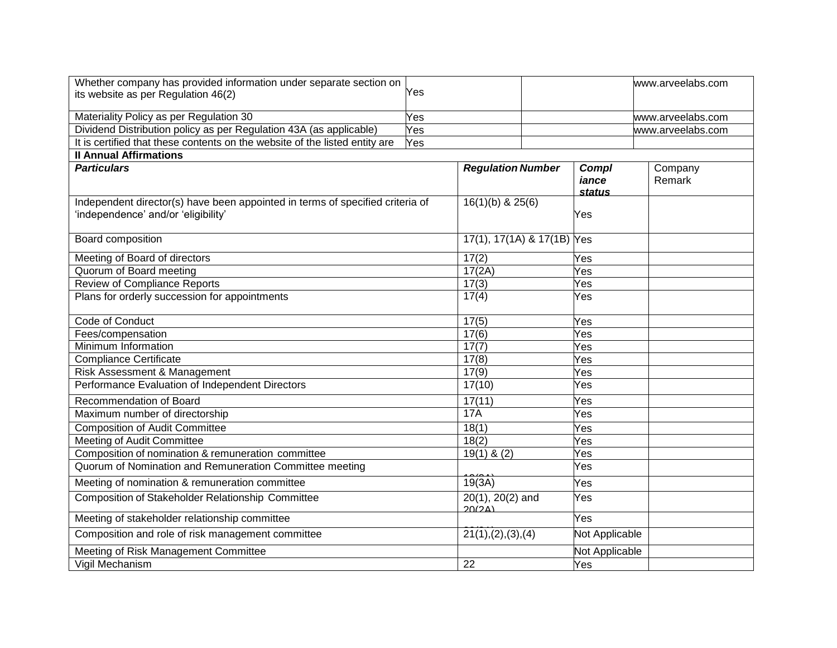| Whether company has provided information under separate section on            |     |                              |                | www.arveelabs.com |
|-------------------------------------------------------------------------------|-----|------------------------------|----------------|-------------------|
| its website as per Regulation 46(2)                                           | Yes |                              |                |                   |
|                                                                               |     |                              |                |                   |
| Materiality Policy as per Regulation 30                                       | Yes |                              |                | www.arveelabs.com |
| Dividend Distribution policy as per Regulation 43A (as applicable)            | Yes |                              |                | www.arveelabs.com |
| It is certified that these contents on the website of the listed entity are   | Yes |                              |                |                   |
| <b>Il Annual Affirmations</b>                                                 |     |                              |                |                   |
| <b>Particulars</b>                                                            |     | <b>Regulation Number</b>     | Compl          | Company           |
|                                                                               |     |                              | iance          | Remark            |
| Independent director(s) have been appointed in terms of specified criteria of |     | $16(1)(b)$ & $25(6)$         | <b>status</b>  |                   |
| 'independence' and/or 'eligibility'                                           |     |                              | Yes            |                   |
|                                                                               |     |                              |                |                   |
| <b>Board composition</b>                                                      |     | 17(1), 17(1A) & 17(1B) Yes   |                |                   |
|                                                                               |     |                              |                |                   |
| Meeting of Board of directors                                                 |     | 17(2)                        | Yes            |                   |
| Quorum of Board meeting                                                       |     | 17(2A)                       | Yes            |                   |
| <b>Review of Compliance Reports</b>                                           |     | 17(3)                        | Yes            |                   |
| Plans for orderly succession for appointments                                 |     | 17(4)                        | Yes            |                   |
|                                                                               |     |                              |                |                   |
| <b>Code of Conduct</b>                                                        |     | 17(5)                        | Yes            |                   |
| Fees/compensation                                                             |     | 17(6)                        | Yes            |                   |
| Minimum Information                                                           |     | 17(7)                        | Yes            |                   |
| <b>Compliance Certificate</b>                                                 |     | 17(8)                        | Yes            |                   |
| Risk Assessment & Management                                                  |     | 17(9)                        | Yes            |                   |
| Performance Evaluation of Independent Directors                               |     | 17(10)                       | Yes            |                   |
| Recommendation of Board                                                       |     | 17(11)                       | Yes            |                   |
| Maximum number of directorship                                                |     | 17A                          | Yes            |                   |
| <b>Composition of Audit Committee</b>                                         |     | 18(1)                        | Yes            |                   |
| Meeting of Audit Committee                                                    |     | 18(2)                        | Yes            |                   |
| Composition of nomination & remuneration committee                            |     | $19(1)$ & (2)                | Yes            |                   |
| Quorum of Nomination and Remuneration Committee meeting                       |     |                              | Yes            |                   |
| Meeting of nomination & remuneration committee                                |     | 19(3A)                       | Yes            |                   |
| <b>Composition of Stakeholder Relationship Committee</b>                      |     | $20(1), 20(2)$ and<br>20(24) | Yes            |                   |
| Meeting of stakeholder relationship committee                                 |     |                              | Yes            |                   |
| Composition and role of risk management committee                             |     | 21(1), (2), (3), (4)         | Not Applicable |                   |
| Meeting of Risk Management Committee                                          |     |                              | Not Applicable |                   |
| Vigil Mechanism                                                               |     | 22                           | Yes            |                   |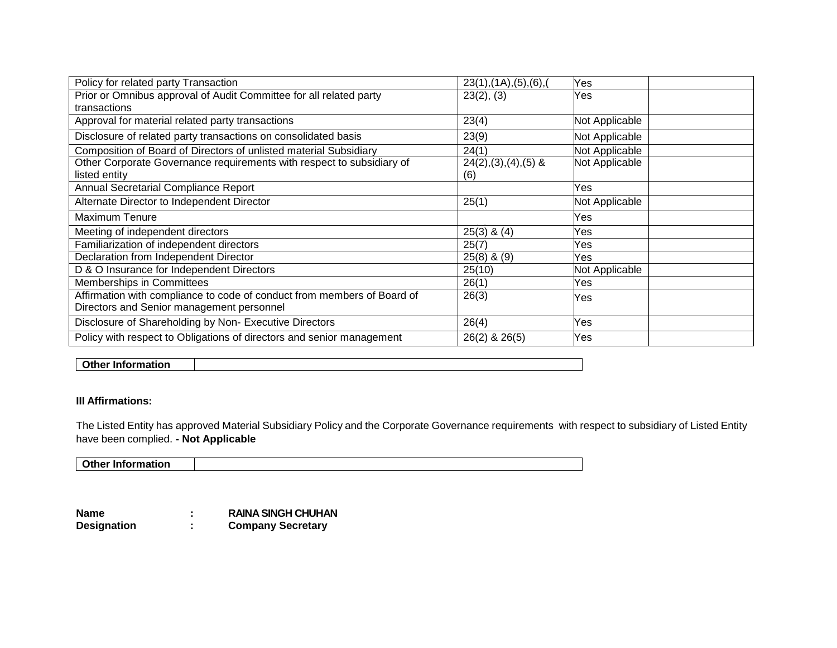| Policy for related party Transaction                                    | 23(1), (1A), (5), (6),   | Yes            |
|-------------------------------------------------------------------------|--------------------------|----------------|
| Prior or Omnibus approval of Audit Committee for all related party      | 23(2), (3)               | Yes            |
| transactions                                                            |                          |                |
| Approval for material related party transactions                        | 23(4)                    | Not Applicable |
| Disclosure of related party transactions on consolidated basis          | 23(9)                    | Not Applicable |
| Composition of Board of Directors of unlisted material Subsidiary       | 24(1)                    | Not Applicable |
| Other Corporate Governance requirements with respect to subsidiary of   | $24(2), (3), (4), (5)$ & | Not Applicable |
| listed entity                                                           | (6)                      |                |
| Annual Secretarial Compliance Report                                    |                          | Yes            |
| Alternate Director to Independent Director                              | 25(1)                    | Not Applicable |
| Maximum Tenure                                                          |                          | Yes            |
| Meeting of independent directors                                        | $25(3)$ & $(4)$          | Yes            |
| Familiarization of independent directors                                | 25(7)                    | Yes            |
| Declaration from Independent Director                                   | $25(8)$ & $(9)$          | Yes            |
| D & O Insurance for Independent Directors                               | 25(10)                   | Not Applicable |
| Memberships in Committees                                               | 26(1)                    | Yes            |
| Affirmation with compliance to code of conduct from members of Board of | 26(3)                    | Yes            |
| Directors and Senior management personnel                               |                          |                |
| Disclosure of Shareholding by Non- Executive Directors                  | 26(4)                    | Yes            |
| Policy with respect to Obligations of directors and senior management   | 26(2) & 26(5)            | Yes            |

## **Other Information**

### **III Affirmations:**

The Listed Entity has approved Material Subsidiary Policy and the Corporate Governance requirements with respect to subsidiary of Listed Entity have been complied. **- Not Applicable**

**Other Information**

**Name : RAINA SINGH CHUHAN**<br> **Designation : Company Secretary Designation : Company Secretary**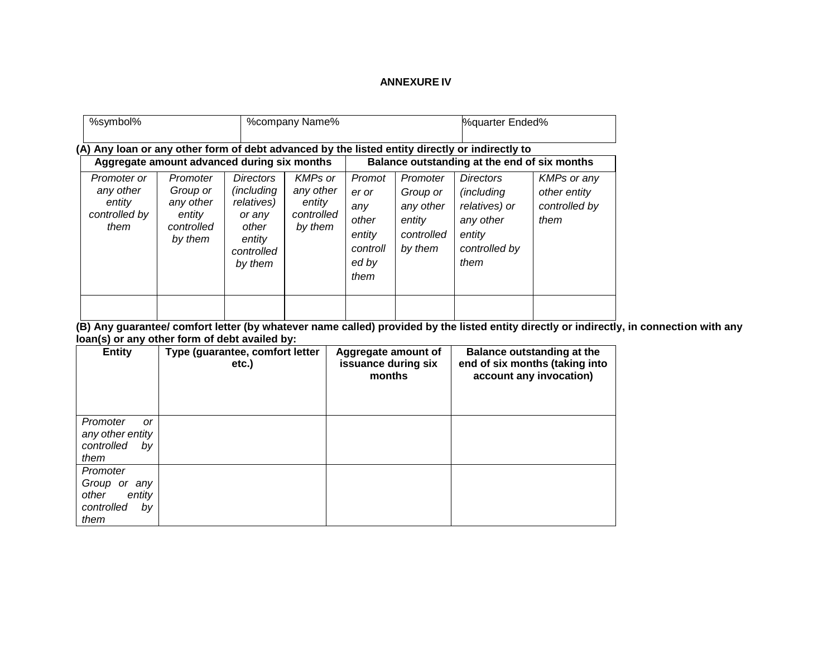### **ANNEXURE IV**

| %symbol%                                                                                                                                                                                      |                                                                      |                                                                                                            | %company Name%                                          |                                                                        |                                                                      | %quarter Ended%                                                                                 |                                                             |
|-----------------------------------------------------------------------------------------------------------------------------------------------------------------------------------------------|----------------------------------------------------------------------|------------------------------------------------------------------------------------------------------------|---------------------------------------------------------|------------------------------------------------------------------------|----------------------------------------------------------------------|-------------------------------------------------------------------------------------------------|-------------------------------------------------------------|
| (A) Any loan or any other form of debt advanced by the listed entity directly or indirectly to<br>Aggregate amount advanced during six months<br>Balance outstanding at the end of six months |                                                                      |                                                                                                            |                                                         |                                                                        |                                                                      |                                                                                                 |                                                             |
| Promoter or<br>any other<br>entity<br>controlled by<br>them                                                                                                                                   | Promoter<br>Group or<br>any other<br>entity<br>controlled<br>by them | <b>Directors</b><br><i>(including)</i><br>relatives)<br>or any<br>other<br>entity<br>controlled<br>by them | KMPs or<br>any other<br>entity<br>controlled<br>by them | Promot<br>er or<br>any<br>other<br>entity<br>controll<br>ed by<br>them | Promoter<br>Group or<br>any other<br>entity<br>controlled<br>by them | <b>Directors</b><br>(including<br>relatives) or<br>any other<br>entity<br>controlled by<br>them | <b>KMPs or any</b><br>other entity<br>controlled by<br>them |

**(B) Any guarantee/ comfort letter (by whatever name called) provided by the listed entity directly or indirectly, in connection with any loan(s) or any other form of debt availed by:**

| <b>Entity</b>                                                           | Type (guarantee, comfort letter<br>etc.) | Aggregate amount of<br>issuance during six<br>months | Balance outstanding at the<br>end of six months (taking into<br>account any invocation) |
|-------------------------------------------------------------------------|------------------------------------------|------------------------------------------------------|-----------------------------------------------------------------------------------------|
| Promoter<br>0r<br>any other entity<br>controlled<br>bv<br>them          |                                          |                                                      |                                                                                         |
| Promoter<br>Group or any<br>other<br>entity<br>controlled<br>by<br>them |                                          |                                                      |                                                                                         |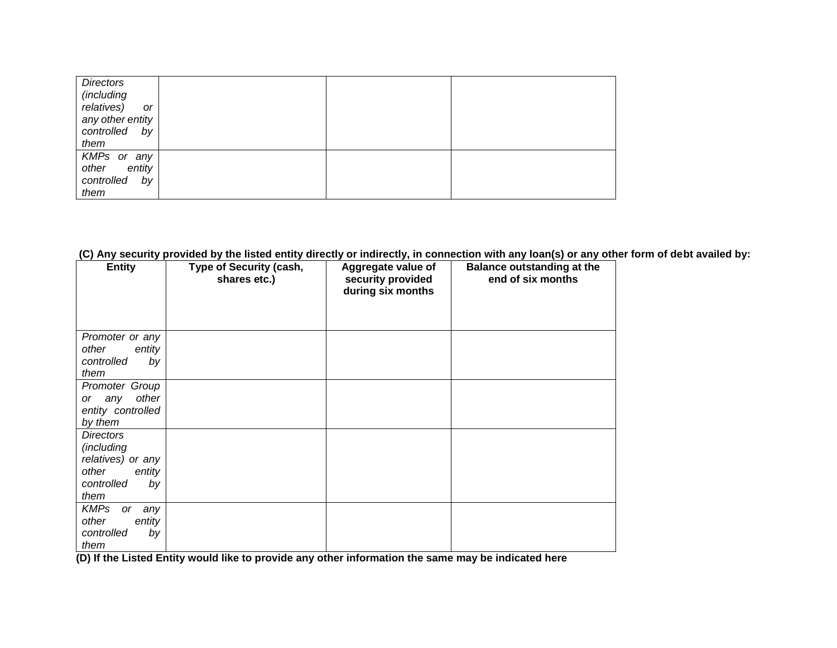| <b>Directors</b><br>(including<br>relatives)<br>or<br>any other entity<br>controlled by<br>them |  |  |
|-------------------------------------------------------------------------------------------------|--|--|
| KMPs or any<br>other entity<br>controlled<br>by<br>them                                         |  |  |

### **(C) Any security provided by the listed entity directly or indirectly, in connection with any loan(s) or any other form of debt availed by:**

| <b>Entity</b>                                                                               | Type of Security (cash,<br>shares etc.) | Aggregate value of<br>security provided<br>during six months | <b>Balance outstanding at the</b><br>end of six months |
|---------------------------------------------------------------------------------------------|-----------------------------------------|--------------------------------------------------------------|--------------------------------------------------------|
| Promoter or any<br>other<br>entity<br>controlled<br>by<br>them                              |                                         |                                                              |                                                        |
| Promoter Group<br>other<br>or any<br>entity controlled<br>by them                           |                                         |                                                              |                                                        |
| Directors<br>(including<br>relatives) or any<br>other<br>entity<br>controlled<br>by<br>them |                                         |                                                              |                                                        |
| <b>KMPs</b><br>any<br>or<br>other<br>entity<br>controlled<br>by<br>them                     |                                         |                                                              |                                                        |

**(D) If the Listed Entity would like to provide any other information the same may be indicated here**